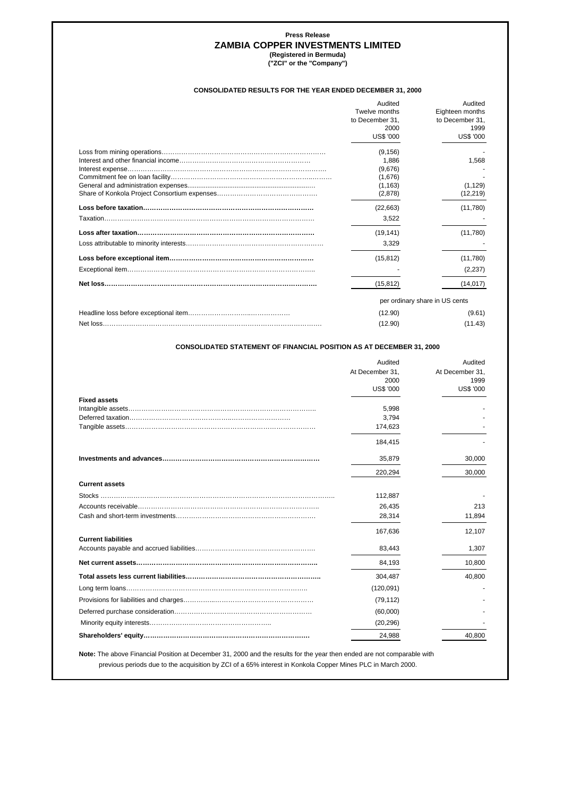## **Press Release ZAMBIA COPPER INVESTMENTS LIMITED (Registered in Bermuda)**

**("ZCI" or the "Company")**

# **CONSOLIDATED RESULTS FOR THE YEAR ENDED DECEMBER 31, 2000**

| Audited<br>Twelve months<br>to December 31.<br>2000<br><b>US\$ '000</b> | Audited<br>Eighteen months<br>to December 31,<br>1999<br><b>US\$ '000</b> |  |
|-------------------------------------------------------------------------|---------------------------------------------------------------------------|--|
| (9, 156)<br>1.886<br>(9,676)<br>(1,676)<br>(1, 163)<br>(2,878)          | 1,568<br>(1, 129)<br>(12, 219)                                            |  |
| (22, 663)<br>3,522                                                      | (11,780)                                                                  |  |
| (19, 141)<br>3,329                                                      | (11,780)                                                                  |  |
| (15, 812)                                                               | (11,780)<br>(2,237)                                                       |  |
| (15, 812)                                                               | (14, 017)                                                                 |  |
| per ordinary share in US cents                                          |                                                                           |  |
| (12.90)                                                                 | (9.61)                                                                    |  |
| (12.90)                                                                 | (11.43)                                                                   |  |

**CONSOLIDATED STATEMENT OF FINANCIAL POSITION AS AT DECEMBER 31, 2000**

|                            | Audited          | Audited          |
|----------------------------|------------------|------------------|
|                            | At December 31.  | At December 31,  |
|                            | 2000             | 1999             |
|                            | <b>US\$ '000</b> | <b>US\$ '000</b> |
| <b>Fixed assets</b>        |                  |                  |
|                            | 5.998            |                  |
|                            | 3.794            |                  |
|                            | 174,623          |                  |
|                            | 184,415          |                  |
|                            | 35,879           | 30,000           |
|                            | 220,294          | 30,000           |
| <b>Current assets</b>      |                  |                  |
|                            | 112,887          |                  |
|                            | 26,435           | 213              |
|                            | 28,314           | 11,894           |
|                            | 167,636          | 12,107           |
| <b>Current liabilities</b> |                  |                  |
|                            | 83,443           | 1,307            |
|                            | 84,193           | 10,800           |
|                            | 304,487          | 40,800           |
|                            | (120,091)        |                  |
|                            | (79, 112)        |                  |
|                            | (60,000)         |                  |
|                            | (20, 296)        |                  |
|                            | 24,988           | 40.800           |

**Note:** The above Financial Position at December 31, 2000 and the results for the year then ended are not comparable with previous periods due to the acquisition by ZCI of a 65% interest in Konkola Copper Mines PLC in March 2000.